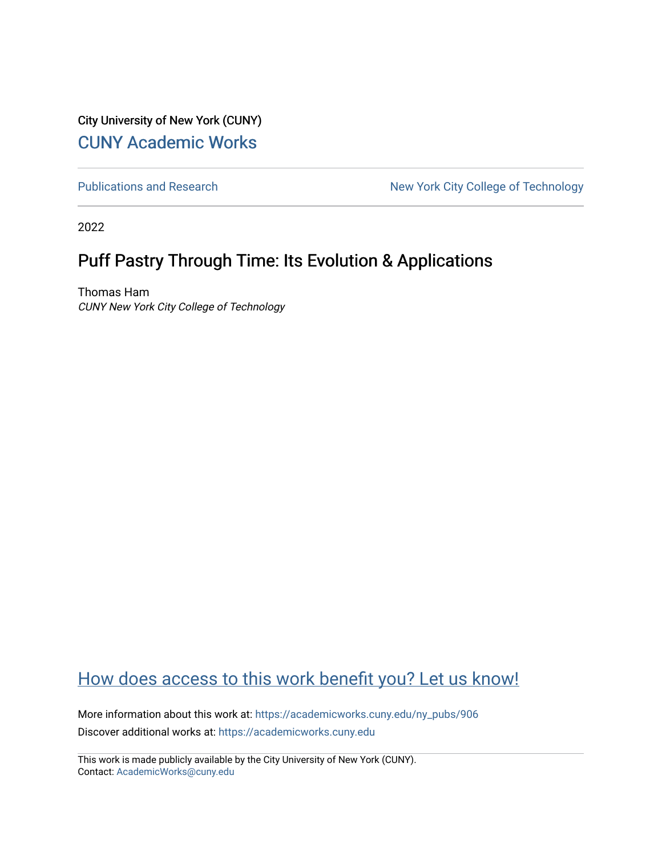City University of New York (CUNY) [CUNY Academic Works](https://academicworks.cuny.edu/) 

[Publications and Research](https://academicworks.cuny.edu/ny_pubs) New York City College of Technology

2022

#### Puff Pastry Through Time: Its Evolution & Applications

Thomas Ham CUNY New York City College of Technology

#### [How does access to this work benefit you? Let us know!](http://ols.cuny.edu/academicworks/?ref=https://academicworks.cuny.edu/ny_pubs/906)

More information about this work at: [https://academicworks.cuny.edu/ny\\_pubs/906](https://academicworks.cuny.edu/ny_pubs/906)  Discover additional works at: [https://academicworks.cuny.edu](https://academicworks.cuny.edu/?)

This work is made publicly available by the City University of New York (CUNY). Contact: [AcademicWorks@cuny.edu](mailto:AcademicWorks@cuny.edu)